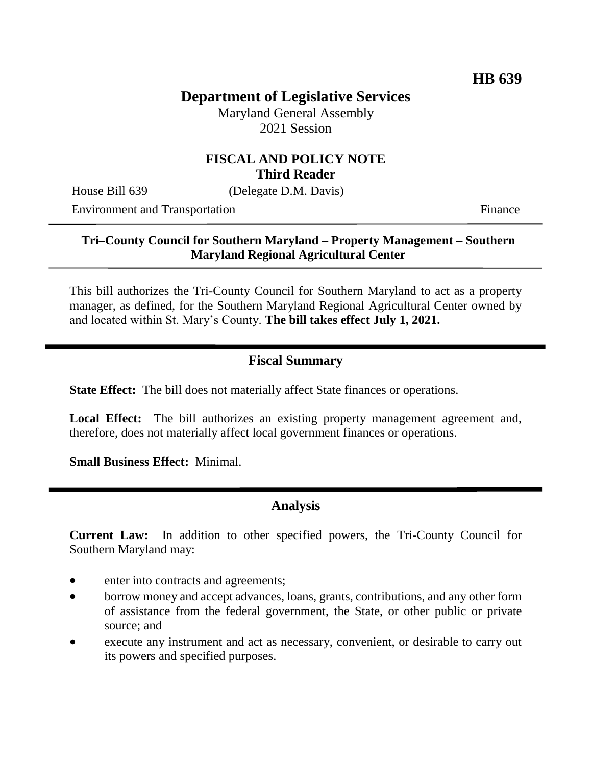# **Department of Legislative Services**

Maryland General Assembly 2021 Session

#### **FISCAL AND POLICY NOTE Third Reader**

House Bill 639 (Delegate D.M. Davis)

Environment and Transportation Finance

### **Tri–County Council for Southern Maryland – Property Management – Southern Maryland Regional Agricultural Center**

This bill authorizes the Tri-County Council for Southern Maryland to act as a property manager, as defined, for the Southern Maryland Regional Agricultural Center owned by and located within St. Mary's County. **The bill takes effect July 1, 2021.**

# **Fiscal Summary**

**State Effect:** The bill does not materially affect State finances or operations.

Local Effect: The bill authorizes an existing property management agreement and, therefore, does not materially affect local government finances or operations.

**Small Business Effect:** Minimal.

# **Analysis**

**Current Law:** In addition to other specified powers, the Tri-County Council for Southern Maryland may:

- enter into contracts and agreements;
- borrow money and accept advances, loans, grants, contributions, and any other form of assistance from the federal government, the State, or other public or private source; and
- execute any instrument and act as necessary, convenient, or desirable to carry out its powers and specified purposes.